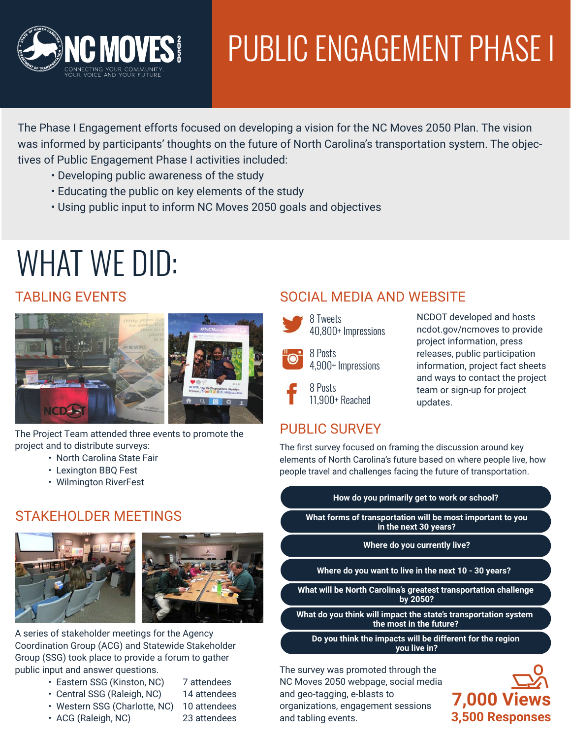

# PUBLIC ENGAGEMENT PHASE I

The Phase I Engagement efforts focused on developing a vision for the NC Moves 2050 Plan. The vision was informed by participants' thoughts on the future of North Carolina's transportation system. The objectives of Public Engagement Phase I activities included:

- Developing public awareness of the study
- Educating the public on key elements of the study
- Using public input to inform NC Moves 2050 goals and objectives

## WHAT WE DID:

#### TABLING EVENTS



The Project Team attended three events to promote the project and to distribute surveys:

- North Carolina State Fair
	- Lexington BBQ Fest
	- Wilmington RiverFest

#### STAKEHOLDER MEETINGS





A series of stakeholder meetings for the Agency Coordination Group (ACG) and Statewide Stakeholder Group (SSG) took place to provide a forum to gather public input and answer questions.

- Eastern SSG (Kinston, NC) 7 attendees
- Central SSG (Raleigh, NC) 14 attendees
	-
- ACG (Raleigh, NC) 23 attendees
- Western SSG (Charlotte, NC) 10 attendees

## SOCIAL MEDIA AND WEBSITE



40,800+ Impressions 8 Posts

4,900+ Impressions

8 Posts 11,900+ Reached

#### NCDOT developed and hosts ncdot.gov/ncmoves to provide project information, press releases, public participation information, project fact sheets and ways to contact the project team or sign-up for project updates.

## PUBLIC SURVEY

The first survey focused on framing the discussion around key elements of North Carolina's future based on where people live, how people travel and challenges facing the future of transportation.

#### **How do you primarily get to work or school?**

**What forms of transportation will be most important to you in the next 30 years?**

#### **Where do you currently live?**

**Where do you want to live in the next 10 - 30 years?**

**What will be North Carolina's greatest transportation challenge by 2050?**

**What do you think will impact the state's transportation system the most in the future?**

**Do you think the impacts will be different for the region you live in?**

The survey was promoted through the NC Moves 2050 webpage, social media and geo-tagging, e-blasts to organizations, engagement sessions and tabling events.